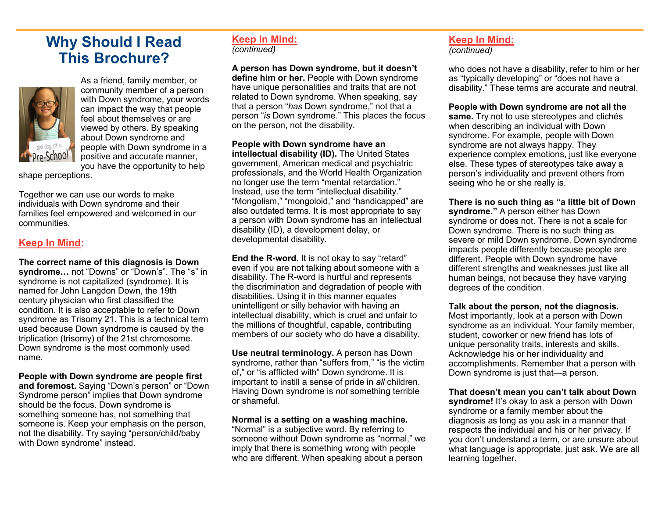# **Why Should I Read This Brochure?**



As a friend, family member, or community member of a person with Down syndrome, your words can impact the way that people feel about themselves or are viewed by others. By speaking about Down syndrome and people with Down syndrome in a positive and accurate manner, you have the opportunity to help

shape perceptions.

Together we can use our words to make individuals with Down syndrome and their families feel empowered and welcomed in our communities.

## **Keep In Mind:**

**The correct name of this diagnosis is Down syndrome…** not "Downs" or "Down's". The "s" in syndrome is not capitalized (syndrome). It is named for John Langdon Down, the 19th century physician who first classified the condition. It is also acceptable to refer to Down syndrome as Trisomy 21. This is a technical term used because Down syndrome is caused by the triplication (trisomy) of the 21st chromosome. Down syndrome is the most commonly used name.

**People with Down syndrome are people first and foremost.** Saying "Down's person" or "Down Syndrome person" implies that Down syndrome should be the focus. Down syndrome is something someone has, not something that someone is. Keep your emphasis on the person, not the disability. Try saying "person/child/baby with Down syndrome" instead.

#### **Keep In Mind:** *(continued)*

**A person has Down syndrome, but it doesn't define him or her.** People with Down syndrome have unique personalities and traits that are not related to Down syndrome. When speaking, say that a person "*has* Down syndrome," not that a person "*is* Down syndrome." This places the focus on the person, not the disability.

**People with Down syndrome have an intellectual disability (ID).** The United States government, American medical and psychiatric professionals, and the World Health Organization no longer use the term "mental retardation." Instead, use the term "intellectual disability." "Mongolism," "mongoloid," and "handicapped" are also outdated terms. It is most appropriate to say a person with Down syndrome has an intellectual disability (ID), a development delay, or developmental disability.

**End the R-word.** It is not okay to say "retard" even if you are not talking about someone with a disability. The R-word is hurtful and represents the discrimination and degradation of people with disabilities. Using it in this manner equates unintelligent or silly behavior with having an intellectual disability, which is cruel and unfair to the millions of thoughtful, capable, contributing members of our society who do have a disability.

**Use neutral terminology.** A person has Down syndrome, rather than "suffers from," "is the victim of," or "is afflicted with" Down syndrome. It is important to instill a sense of pride in *all* children. Having Down syndrome is *not* something terrible or shameful.

#### **Normal is a setting on a washing machine.**

"Normal" is a subjective word. By referring to someone without Down syndrome as "normal," we imply that there is something wrong with people who are different. When speaking about a person

#### **Keep In Mind:** *(continued)*

who does not have a disability, refer to him or her as "typically developing" or "does not have a disability." These terms are accurate and neutral.

**People with Down syndrome are not all the** 

**same.** Try not to use stereotypes and clichés when describing an individual with Down syndrome. For example, people with Down syndrome are not always happy. They experience complex emotions, just like everyone else. These types of stereotypes take away a person's individuality and prevent others from seeing who he or she really is.

**There is no such thing as "a little bit of Down syndrome."** A person either has Down syndrome or does not. There is not a scale for Down syndrome. There is no such thing as severe or mild Down syndrome. Down syndrome impacts people differently because people are different. People with Down syndrome have different strengths and weaknesses just like all human beings, not because they have varying degrees of the condition.

#### **Talk about the person, not the diagnosis.**

Most importantly, look at a person with Down syndrome as an individual. Your family member, student, coworker or new friend has lots of unique personality traits, interests and skills. Acknowledge his or her individuality and accomplishments. Remember that a person with Down syndrome is just that—a person.

**That doesn't mean you can't talk about Down** 

**syndrome!** It's okay to ask a person with Down syndrome or a family member about the diagnosis as long as you ask in a manner that respects the individual and his or her privacy. If you don't understand a term, or are unsure about what language is appropriate, just ask. We are all learning together.